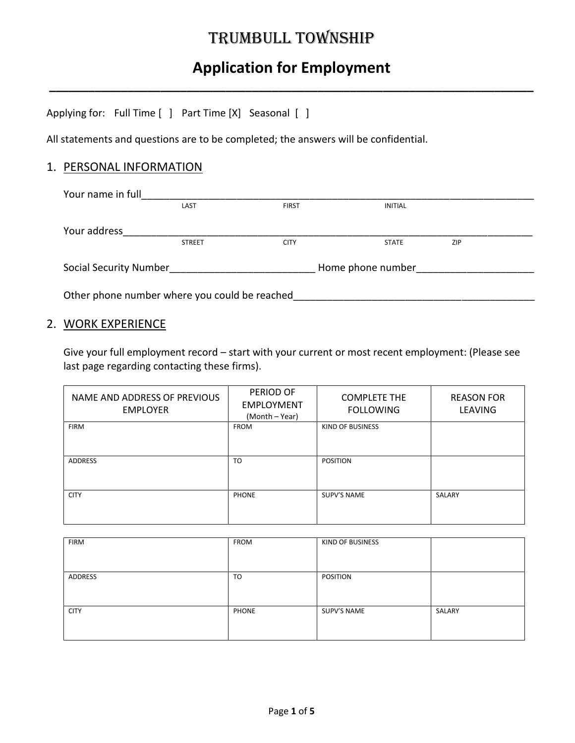### TRUMBULL TOWNSHIP

## **Application for Employment**

**\_\_\_\_\_\_\_\_\_\_\_\_\_\_\_\_\_\_\_\_\_\_\_\_\_\_\_\_\_\_\_\_\_\_\_\_\_\_\_\_\_\_\_\_\_\_\_\_\_\_\_\_\_\_\_\_\_\_\_\_\_\_\_\_\_\_\_\_\_\_\_\_\_\_**

Applying for: Full Time [ ] Part Time [X] Seasonal [ ]

All statements and questions are to be completed; the answers will be confidential.

#### 1. PERSONAL INFORMATION

| Your name in full                             |               |              |                   |     |  |
|-----------------------------------------------|---------------|--------------|-------------------|-----|--|
|                                               | LAST          | <b>FIRST</b> | <b>INITIAL</b>    |     |  |
| Your address                                  |               |              |                   |     |  |
|                                               | <b>STREET</b> | <b>CITY</b>  | <b>STATE</b>      | ZIP |  |
| <b>Social Security Number</b>                 |               |              | Home phone number |     |  |
| Other phone number where you could be reached |               |              |                   |     |  |

#### 2. WORK EXPERIENCE

Give your full employment record – start with your current or most recent employment: (Please see last page regarding contacting these firms).

| NAME AND ADDRESS OF PREVIOUS<br><b>EMPLOYER</b> | PERIOD OF<br><b>EMPLOYMENT</b><br>(Month – Year) | <b>COMPLETE THE</b><br><b>FOLLOWING</b> | <b>REASON FOR</b><br><b>LEAVING</b> |
|-------------------------------------------------|--------------------------------------------------|-----------------------------------------|-------------------------------------|
| <b>FIRM</b>                                     | <b>FROM</b>                                      | KIND OF BUSINESS                        |                                     |
| <b>ADDRESS</b>                                  | TO                                               | <b>POSITION</b>                         |                                     |
| <b>CITY</b>                                     | <b>PHONE</b>                                     | SUPV'S NAME                             | SALARY                              |

| <b>FIRM</b> | <b>FROM</b>  | KIND OF BUSINESS |        |
|-------------|--------------|------------------|--------|
|             |              |                  |        |
|             |              |                  |        |
| ADDRESS     | TO           | POSITION         |        |
|             |              |                  |        |
|             |              |                  |        |
| <b>CITY</b> | <b>PHONE</b> | SUPV'S NAME      | SALARY |
|             |              |                  |        |
|             |              |                  |        |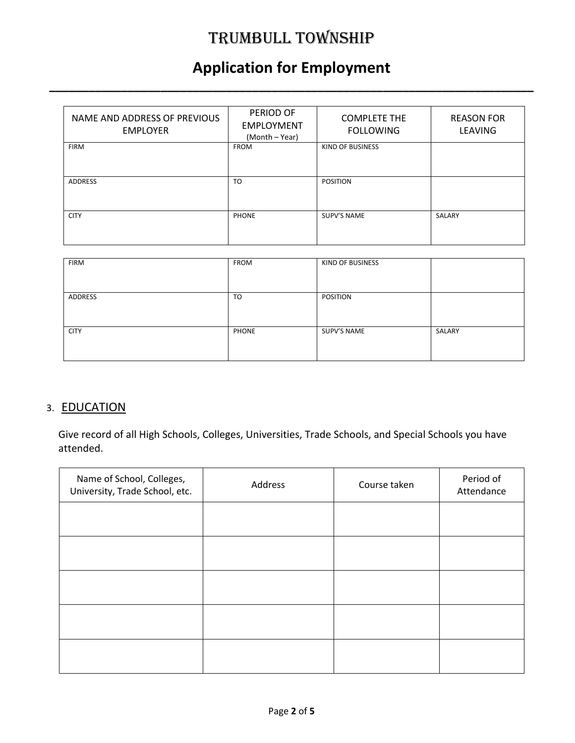## TRUMBULL TOWNSHIP

## **Application for Employment**

**\_\_\_\_\_\_\_\_\_\_\_\_\_\_\_\_\_\_\_\_\_\_\_\_\_\_\_\_\_\_\_\_\_\_\_\_\_\_\_\_\_\_\_\_\_\_\_\_\_\_\_\_\_\_\_\_\_\_\_\_\_\_\_\_\_\_\_\_\_\_\_\_\_\_**

| NAME AND ADDRESS OF PREVIOUS<br><b>EMPLOYER</b> | PERIOD OF<br><b>EMPLOYMENT</b><br>(Month – Year) | <b>COMPLETE THE</b><br><b>FOLLOWING</b> | <b>REASON FOR</b><br><b>LEAVING</b> |
|-------------------------------------------------|--------------------------------------------------|-----------------------------------------|-------------------------------------|
| <b>FIRM</b>                                     | <b>FROM</b>                                      | KIND OF BUSINESS                        |                                     |
| <b>ADDRESS</b>                                  | TO                                               | <b>POSITION</b>                         |                                     |
| <b>CITY</b>                                     | <b>PHONE</b>                                     | SUPV'S NAME                             | SALARY                              |

| <b>FIRM</b> | FROM  | KIND OF BUSINESS |        |
|-------------|-------|------------------|--------|
| ADDRESS     | TO    | POSITION         |        |
| <b>CITY</b> | PHONE | SUPV'S NAME      | SALARY |

#### 3. EDUCATION

Give record of all High Schools, Colleges, Universities, Trade Schools, and Special Schools you have attended.

| Name of School, Colleges,<br>University, Trade School, etc. | Address | Course taken | Period of<br>Attendance |
|-------------------------------------------------------------|---------|--------------|-------------------------|
|                                                             |         |              |                         |
|                                                             |         |              |                         |
|                                                             |         |              |                         |
|                                                             |         |              |                         |
|                                                             |         |              |                         |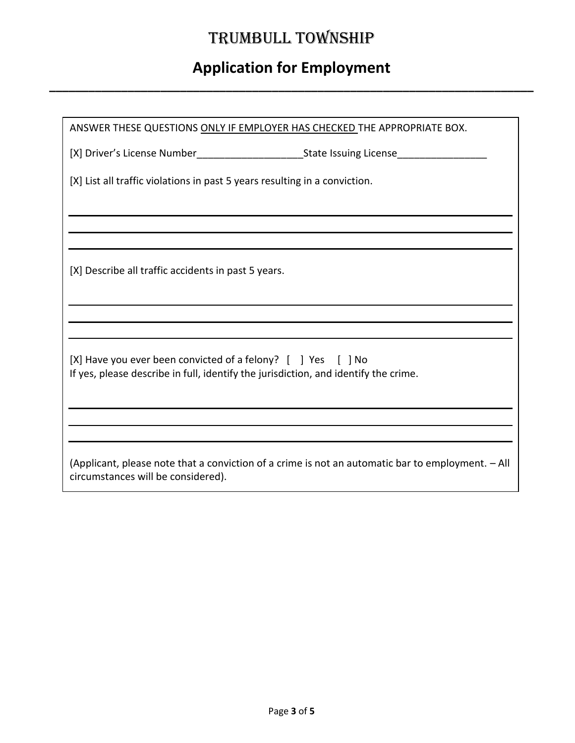# TRUMBULL TOWNSHIP

# **Application for Employment**

**\_\_\_\_\_\_\_\_\_\_\_\_\_\_\_\_\_\_\_\_\_\_\_\_\_\_\_\_\_\_\_\_\_\_\_\_\_\_\_\_\_\_\_\_\_\_\_\_\_\_\_\_\_\_\_\_\_\_\_\_\_\_\_\_\_\_\_\_\_\_\_\_\_\_**

| ANSWER THESE QUESTIONS ONLY IF EMPLOYER HAS CHECKED THE APPROPRIATE BOX.                                                                                      |  |  |  |
|---------------------------------------------------------------------------------------------------------------------------------------------------------------|--|--|--|
|                                                                                                                                                               |  |  |  |
| [X] List all traffic violations in past 5 years resulting in a conviction.                                                                                    |  |  |  |
|                                                                                                                                                               |  |  |  |
|                                                                                                                                                               |  |  |  |
| [X] Describe all traffic accidents in past 5 years.                                                                                                           |  |  |  |
|                                                                                                                                                               |  |  |  |
|                                                                                                                                                               |  |  |  |
| $[X]$ Have you ever been convicted of a felony? $[$ $]$ Yes $[$ $]$ No<br>If yes, please describe in full, identify the jurisdiction, and identify the crime. |  |  |  |
|                                                                                                                                                               |  |  |  |
|                                                                                                                                                               |  |  |  |
| (Applicant, please note that a conviction of a crime is not an automatic bar to employment. - All<br>circumstances will be considered).                       |  |  |  |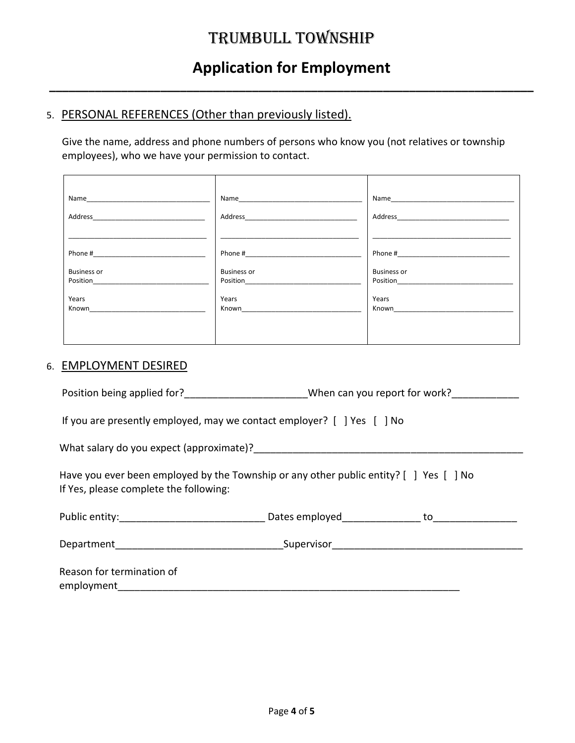### **Application for Employment**

**\_\_\_\_\_\_\_\_\_\_\_\_\_\_\_\_\_\_\_\_\_\_\_\_\_\_\_\_\_\_\_\_\_\_\_\_\_\_\_\_\_\_\_\_\_\_\_\_\_\_\_\_\_\_\_\_\_\_\_\_\_\_\_\_\_\_\_\_\_\_\_\_\_\_**

### 5. PERSONAL REFERENCES (Other than previously listed).

Give the name, address and phone numbers of persons who know you (not relatives or township employees), who we have your permission to contact.

| Address            |                                                                                                                | Address and the state of the state of the state of the state of the state of the state of the state of the state of the state of the state of the state of the state of the state of the state of the state of the state of th |
|--------------------|----------------------------------------------------------------------------------------------------------------|--------------------------------------------------------------------------------------------------------------------------------------------------------------------------------------------------------------------------------|
|                    |                                                                                                                |                                                                                                                                                                                                                                |
|                    | Phone # 2008 2008 2012 2013 2014 2015 2016 2017 2018 2019 2017 2018 2019 2019 2017 2018 2019 2019 2017 2018 20 |                                                                                                                                                                                                                                |
| <b>Business or</b> | <b>Business or</b>                                                                                             | <b>Business or</b>                                                                                                                                                                                                             |
| Position           | Position Position                                                                                              | Position______________                                                                                                                                                                                                         |
| Years              | Years                                                                                                          | Years                                                                                                                                                                                                                          |
| Known              | Known <b>Example 2019</b>                                                                                      | Known <b>Example 2019</b>                                                                                                                                                                                                      |
|                    |                                                                                                                |                                                                                                                                                                                                                                |
|                    |                                                                                                                |                                                                                                                                                                                                                                |
|                    |                                                                                                                |                                                                                                                                                                                                                                |

#### 6. EMPLOYMENT DESIRED

Position being applied for?\_\_\_\_\_\_\_\_\_\_\_\_\_\_\_\_\_\_\_\_\_\_\_\_\_When can you report for work?\_\_\_\_\_\_\_\_\_\_\_\_\_\_\_\_\_\_\_

If you are presently employed, may we contact employer? [ ] Yes [ ] No

What salary do you expect (approximate)?\_\_\_\_\_

 Have you ever been employed by the Township or any other public entity? [ ] Yes [ ] No If Yes, please complete the following:

| Public entity:                          | Dates employed | to |
|-----------------------------------------|----------------|----|
| Department                              | Supervisor     |    |
| Reason for termination of<br>employment |                |    |